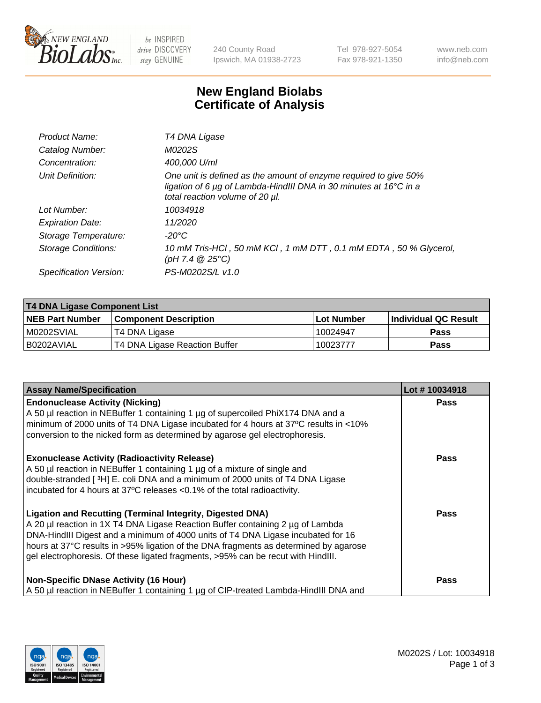

 $be$  INSPIRED drive DISCOVERY stay GENUINE

240 County Road Ipswich, MA 01938-2723 Tel 978-927-5054 Fax 978-921-1350 www.neb.com info@neb.com

## **New England Biolabs Certificate of Analysis**

| Product Name:              | T4 DNA Ligase                                                                                                                                                                           |
|----------------------------|-----------------------------------------------------------------------------------------------------------------------------------------------------------------------------------------|
| Catalog Number:            | M0202S                                                                                                                                                                                  |
| Concentration:             | 400,000 U/ml                                                                                                                                                                            |
| Unit Definition:           | One unit is defined as the amount of enzyme required to give 50%<br>ligation of 6 $\mu$ g of Lambda-HindIII DNA in 30 minutes at 16 $\degree$ C in a<br>total reaction volume of 20 µl. |
| Lot Number:                | 10034918                                                                                                                                                                                |
| <b>Expiration Date:</b>    | 11/2020                                                                                                                                                                                 |
| Storage Temperature:       | $-20^{\circ}$ C                                                                                                                                                                         |
| <b>Storage Conditions:</b> | 10 mM Tris-HCl, 50 mM KCl, 1 mM DTT, 0.1 mM EDTA, 50 % Glycerol,<br>(pH 7.4 $@25°C$ )                                                                                                   |
| Specification Version:     | PS-M0202S/L v1.0                                                                                                                                                                        |

| <b>T4 DNA Ligase Component List</b> |                               |             |                       |  |
|-------------------------------------|-------------------------------|-------------|-----------------------|--|
| <b>NEB Part Number</b>              | <b>Component Description</b>  | ⊺Lot Number | ∣Individual QC Result |  |
| M0202SVIAL                          | T4 DNA Ligase                 | 10024947    | <b>Pass</b>           |  |
| B0202AVIAL                          | T4 DNA Ligase Reaction Buffer | 10023777    | <b>Pass</b>           |  |

| <b>Assay Name/Specification</b>                                                                                                                                                                                                                                                                                                                                                                                    | Lot #10034918 |
|--------------------------------------------------------------------------------------------------------------------------------------------------------------------------------------------------------------------------------------------------------------------------------------------------------------------------------------------------------------------------------------------------------------------|---------------|
| <b>Endonuclease Activity (Nicking)</b><br>A 50 µl reaction in NEBuffer 1 containing 1 µg of supercoiled PhiX174 DNA and a<br>minimum of 2000 units of T4 DNA Ligase incubated for 4 hours at 37°C results in <10%<br>conversion to the nicked form as determined by agarose gel electrophoresis.                                                                                                                   | <b>Pass</b>   |
| <b>Exonuclease Activity (Radioactivity Release)</b><br>A 50 µl reaction in NEBuffer 1 containing 1 µg of a mixture of single and<br>double-stranded [3H] E. coli DNA and a minimum of 2000 units of T4 DNA Ligase<br>incubated for 4 hours at 37°C releases <0.1% of the total radioactivity.                                                                                                                      | <b>Pass</b>   |
| <b>Ligation and Recutting (Terminal Integrity, Digested DNA)</b><br>A 20 µl reaction in 1X T4 DNA Ligase Reaction Buffer containing 2 µg of Lambda<br>DNA-HindIII Digest and a minimum of 4000 units of T4 DNA Ligase incubated for 16<br>hours at 37°C results in >95% ligation of the DNA fragments as determined by agarose<br>gel electrophoresis. Of these ligated fragments, >95% can be recut with HindIII. | <b>Pass</b>   |
| <b>Non-Specific DNase Activity (16 Hour)</b><br>A 50 µl reaction in NEBuffer 1 containing 1 µg of CIP-treated Lambda-HindIII DNA and                                                                                                                                                                                                                                                                               | Pass          |

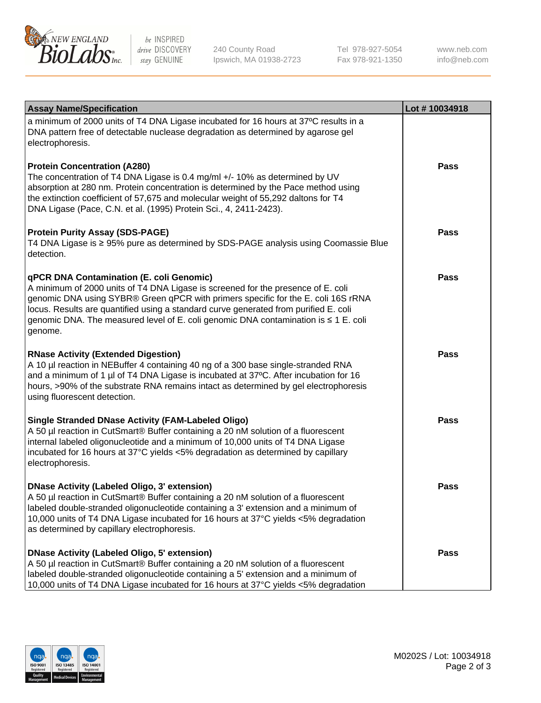

be INSPIRED drive DISCOVERY stay GENUINE

240 County Road Ipswich, MA 01938-2723 Tel 978-927-5054 Fax 978-921-1350

www.neb.com info@neb.com

| <b>Assay Name/Specification</b>                                                                                                                                                                                                                                                                                                                                                                                    | Lot #10034918 |
|--------------------------------------------------------------------------------------------------------------------------------------------------------------------------------------------------------------------------------------------------------------------------------------------------------------------------------------------------------------------------------------------------------------------|---------------|
| a minimum of 2000 units of T4 DNA Ligase incubated for 16 hours at 37°C results in a<br>DNA pattern free of detectable nuclease degradation as determined by agarose gel<br>electrophoresis.                                                                                                                                                                                                                       |               |
| <b>Protein Concentration (A280)</b><br>The concentration of T4 DNA Ligase is 0.4 mg/ml +/- 10% as determined by UV<br>absorption at 280 nm. Protein concentration is determined by the Pace method using<br>the extinction coefficient of 57,675 and molecular weight of 55,292 daltons for T4<br>DNA Ligase (Pace, C.N. et al. (1995) Protein Sci., 4, 2411-2423).                                                | Pass          |
| <b>Protein Purity Assay (SDS-PAGE)</b><br>T4 DNA Ligase is ≥ 95% pure as determined by SDS-PAGE analysis using Coomassie Blue<br>detection.                                                                                                                                                                                                                                                                        | Pass          |
| <b>qPCR DNA Contamination (E. coli Genomic)</b><br>A minimum of 2000 units of T4 DNA Ligase is screened for the presence of E. coli<br>genomic DNA using SYBR® Green qPCR with primers specific for the E. coli 16S rRNA<br>locus. Results are quantified using a standard curve generated from purified E. coli<br>genomic DNA. The measured level of E. coli genomic DNA contamination is ≤ 1 E. coli<br>genome. | <b>Pass</b>   |
| <b>RNase Activity (Extended Digestion)</b><br>A 10 µl reaction in NEBuffer 4 containing 40 ng of a 300 base single-stranded RNA<br>and a minimum of 1 µl of T4 DNA Ligase is incubated at 37°C. After incubation for 16<br>hours, >90% of the substrate RNA remains intact as determined by gel electrophoresis<br>using fluorescent detection.                                                                    | <b>Pass</b>   |
| <b>Single Stranded DNase Activity (FAM-Labeled Oligo)</b><br>A 50 µl reaction in CutSmart® Buffer containing a 20 nM solution of a fluorescent<br>internal labeled oligonucleotide and a minimum of 10,000 units of T4 DNA Ligase<br>incubated for 16 hours at 37°C yields <5% degradation as determined by capillary<br>electrophoresis.                                                                          | <b>Pass</b>   |
| DNase Activity (Labeled Oligo, 3' extension)<br>A 50 µl reaction in CutSmart® Buffer containing a 20 nM solution of a fluorescent<br>labeled double-stranded oligonucleotide containing a 3' extension and a minimum of<br>10,000 units of T4 DNA Ligase incubated for 16 hours at 37°C yields <5% degradation<br>as determined by capillary electrophoresis.                                                      | <b>Pass</b>   |
| DNase Activity (Labeled Oligo, 5' extension)<br>A 50 µl reaction in CutSmart® Buffer containing a 20 nM solution of a fluorescent<br>labeled double-stranded oligonucleotide containing a 5' extension and a minimum of<br>10,000 units of T4 DNA Ligase incubated for 16 hours at 37°C yields <5% degradation                                                                                                     | <b>Pass</b>   |